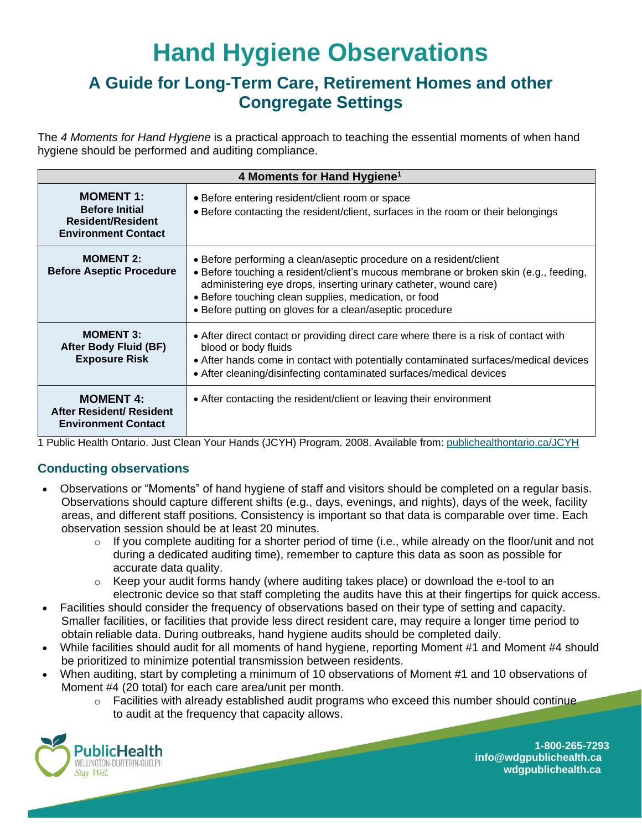# **Hand Hygiene Observations**

## **A Guide for Long-Term Care, Retirement Homes and other Congregate Settings**

The *4 Moments for Hand Hygiene* is a practical approach to teaching the essential moments of when hand hygiene should be performed and auditing compliance.

| 4 Moments for Hand Hygiene <sup>1</sup>                                                             |                                                                                                                                                                                                                                                                                                                                                     |  |  |  |  |  |  |
|-----------------------------------------------------------------------------------------------------|-----------------------------------------------------------------------------------------------------------------------------------------------------------------------------------------------------------------------------------------------------------------------------------------------------------------------------------------------------|--|--|--|--|--|--|
| <b>MOMENT 1:</b><br><b>Before Initial</b><br><b>Resident/Resident</b><br><b>Environment Contact</b> | • Before entering resident/client room or space<br>• Before contacting the resident/client, surfaces in the room or their belongings                                                                                                                                                                                                                |  |  |  |  |  |  |
| <b>MOMENT 2:</b><br><b>Before Aseptic Procedure</b>                                                 | • Before performing a clean/aseptic procedure on a resident/client<br>• Before touching a resident/client's mucous membrane or broken skin (e.g., feeding,<br>administering eye drops, inserting urinary catheter, wound care)<br>• Before touching clean supplies, medication, or food<br>• Before putting on gloves for a clean/aseptic procedure |  |  |  |  |  |  |
| <b>MOMENT 3:</b><br>After Body Fluid (BF)<br><b>Exposure Risk</b>                                   | • After direct contact or providing direct care where there is a risk of contact with<br>blood or body fluids<br>• After hands come in contact with potentially contaminated surfaces/medical devices<br>• After cleaning/disinfecting contaminated surfaces/medical devices                                                                        |  |  |  |  |  |  |
| <b>MOMENT 4:</b><br><b>After Resident/ Resident</b><br><b>Environment Contact</b>                   | • After contacting the resident/client or leaving their environment                                                                                                                                                                                                                                                                                 |  |  |  |  |  |  |

1 Public Health Ontario. Just Clean Your Hands (JCYH) Program. 2008. Available from: [publichealthontario.ca/JCYH](https://www.publichealthontario.ca/en/health-topics/infection-prevention-control/hand-hygiene) 

#### **Conducting observations**

- Observations or "Moments" of hand hygiene of staff and visitors should be completed on a regular basis. Observations should capture different shifts (e.g., days, evenings, and nights), days of the week, facility areas, and different staff positions. Consistency is important so that data is comparable over time. Each observation session should be at least 20 minutes.
	- $\circ$  If you complete auditing for a shorter period of time (i.e., while already on the floor/unit and not during a dedicated auditing time), remember to capture this data as soon as possible for accurate data quality.
	- $\circ$  Keep your audit forms handy (where auditing takes place) or download the e-tool to an electronic device so that staff completing the audits have this at their fingertips for quick access.
- Facilities should consider the frequency of observations based on their type of setting and capacity. Smaller facilities, or facilities that provide less direct resident care, may require a longer time period to obtain reliable data. During outbreaks, hand hygiene audits should be completed daily.
- While facilities should audit for all moments of hand hygiene, reporting Moment #1 and Moment #4 should be prioritized to minimize potential transmission between residents.
- When auditing, start by completing a minimum of 10 observations of Moment #1 and 10 observations of Moment #4 (20 total) for each care area/unit per month.
	- o Facilities with already established audit programs who exceed this number should continue to audit at the frequency that capacity allows.



 **1-800-265-7293 in info@wdgpublichealth.ca** *Stay Well*. **We we can also consider the case of the case of the case of the case of the case of the case of the case of the case of the case of the case of the case of the case of the case of the case of the case of th**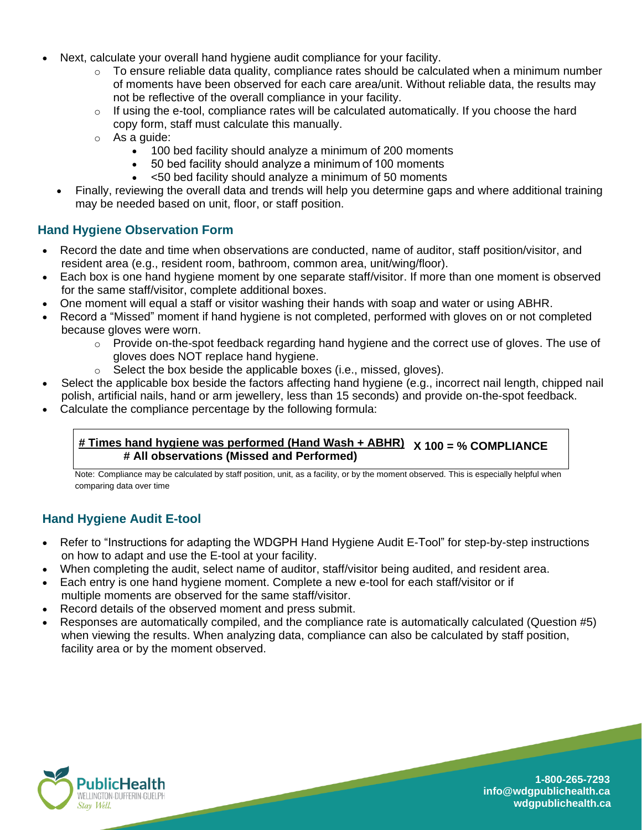- Next, calculate your overall hand hygiene audit compliance for your facility.
	- $\circ$  To ensure reliable data quality, compliance rates should be calculated when a minimum number of moments have been observed for each care area/unit. Without reliable data, the results may not be reflective of the overall compliance in your facility.
	- $\circ$  If using the e-tool, compliance rates will be calculated automatically. If you choose the hard copy form, staff must calculate this manually.
	- o As a guide:
		- 100 bed facility should analyze a minimum of 200 moments
		- 50 bed facility should analyze a minimum of 100 moments
		- <50 bed facility should analyze a minimum of 50 moments
	- Finally, reviewing the overall data and trends will help you determine gaps and where additional training may be needed based on unit, floor, or staff position.

#### **Hand Hygiene Observation Form**

- Record the date and time when observations are conducted, name of auditor, staff position/visitor, and resident area (e.g., resident room, bathroom, common area, unit/wing/floor).
- Each box is one hand hygiene moment by one separate staff/visitor. If more than one moment is observed for the same staff/visitor, complete additional boxes.
- One moment will equal a staff or visitor washing their hands with soap and water or using ABHR.
- Record a "Missed" moment if hand hygiene is not completed, performed with gloves on or not completed because gloves were worn.
	- $\circ$  Provide on-the-spot feedback regarding hand hygiene and the correct use of gloves. The use of gloves does NOT replace hand hygiene.
	- $\circ$  Select the box beside the applicable boxes (i.e., missed, gloves).
- Select the applicable box beside the factors affecting hand hygiene (e.g., incorrect nail length, chipped nail polish, artificial nails, hand or arm jewellery, less than 15 seconds) and provide on-the-spot feedback.
- Calculate the compliance percentage by the following formula:

#### **# Times hand hygiene was performed (Hand Wash + ABHR) X 100 = % COMPLIANCE # All observations (Missed and Performed)**

Note: Compliance may be calculated by staff position, unit, as a facility, or by the moment observed. This is especially helpful when comparing data over time

#### **Hand Hygiene Audit E-tool**

- Refer to "Instructions for adapting the WDGPH Hand Hygiene Audit E-Tool" for step-by-step instructions on how to adapt and use the E-tool at your facility.
- When completing the audit, select name of auditor, staff/visitor being audited, and resident area.
- Each entry is one hand hygiene moment. Complete a new e-tool for each staff/visitor or if multiple moments are observed for the same staff/visitor.
- Record details of the observed moment and press submit.
- Responses are automatically compiled, and the compliance rate is automatically calculated (Question #5) when viewing the results. When analyzing data, compliance can also be calculated by staff position, facility area or by the moment observed.



 **1-800-265-7293 in info@wdgpublichealth.ca** wELLINGTON-DUFFERIN-GUELPH<br>*Stay Well*. **wdgpublichealth.ca**